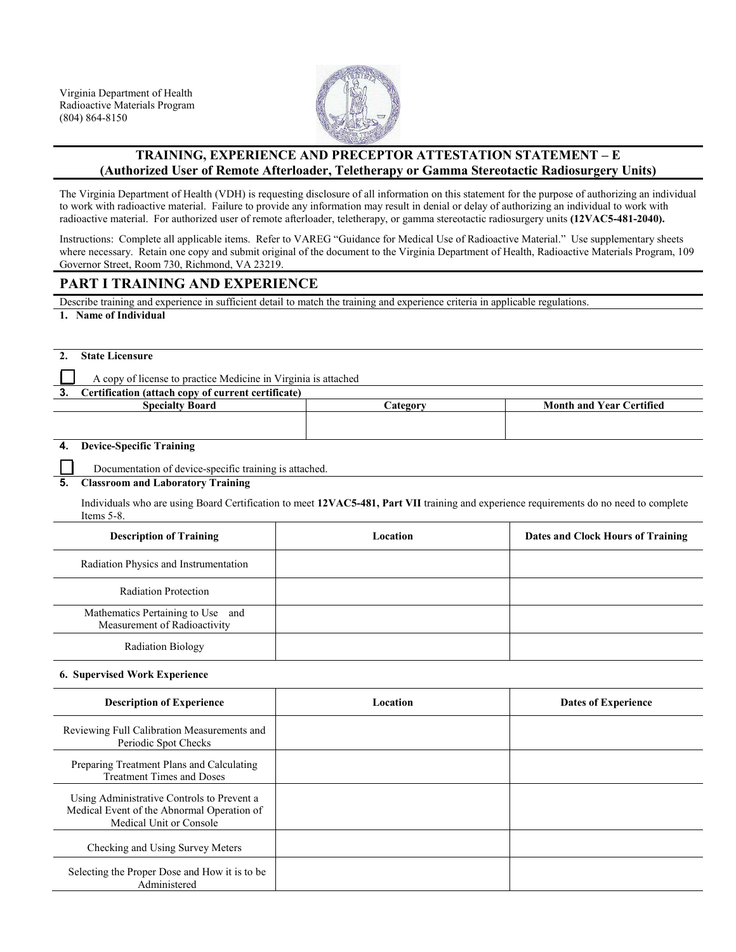

## **TRAINING, EXPERIENCE AND PRECEPTOR ATTESTATION STATEMENT – E (Authorized User of Remote Afterloader, Teletherapy or Gamma Stereotactic Radiosurgery Units)**

The Virginia Department of Health (VDH) is requesting disclosure of all information on this statement for the purpose of authorizing an individual to work with radioactive material. Failure to provide any information may result in denial or delay of authorizing an individual to work with radioactive material. For authorized user of remote afterloader, teletherapy, or gamma stereotactic radiosurgery units **(12VAC5-481-2040).**

Instructions: Complete all applicable items. Refer to VAREG "Guidance for Medical Use of Radioactive Material." Use supplementary sheets where necessary. Retain one copy and submit original of the document to the Virginia Department of Health, Radioactive Materials Program, 109 Governor Street, Room 730, Richmond, VA 23219.

## **PART I TRAINING AND EXPERIENCE**

Describe training and experience in sufficient detail to match the training and experience criteria in applicable regulations.

**1. Name of Individual**

| <b>State Licensure</b> |
|------------------------|
|                        |

A copy of license to practice Medicine in Virginia is attached

**3. Certification (attach copy of current certificate) Specialty Board Category Category Month and Year Certified** 

### **4. Device-Specific Training**

Documentation of device-specific training is attached.

#### **5. Classroom and Laboratory Training**

Individuals who are using Board Certification to meet **12VAC5-481, Part VII** training and experience requirements do no need to complete Items 5-8.

| <b>Description of Training</b>                                    | Location | Dates and Clock Hours of Training |
|-------------------------------------------------------------------|----------|-----------------------------------|
| Radiation Physics and Instrumentation                             |          |                                   |
| <b>Radiation Protection</b>                                       |          |                                   |
| Mathematics Pertaining to Use and<br>Measurement of Radioactivity |          |                                   |
| <b>Radiation Biology</b>                                          |          |                                   |

#### **6. Supervised Work Experience**

| <b>Description of Experience</b>                                                                                    | Location | <b>Dates of Experience</b> |
|---------------------------------------------------------------------------------------------------------------------|----------|----------------------------|
| Reviewing Full Calibration Measurements and<br>Periodic Spot Checks                                                 |          |                            |
| Preparing Treatment Plans and Calculating<br><b>Treatment Times and Doses</b>                                       |          |                            |
| Using Administrative Controls to Prevent a<br>Medical Event of the Abnormal Operation of<br>Medical Unit or Console |          |                            |
| Checking and Using Survey Meters                                                                                    |          |                            |
| Selecting the Proper Dose and How it is to be<br>Administered                                                       |          |                            |